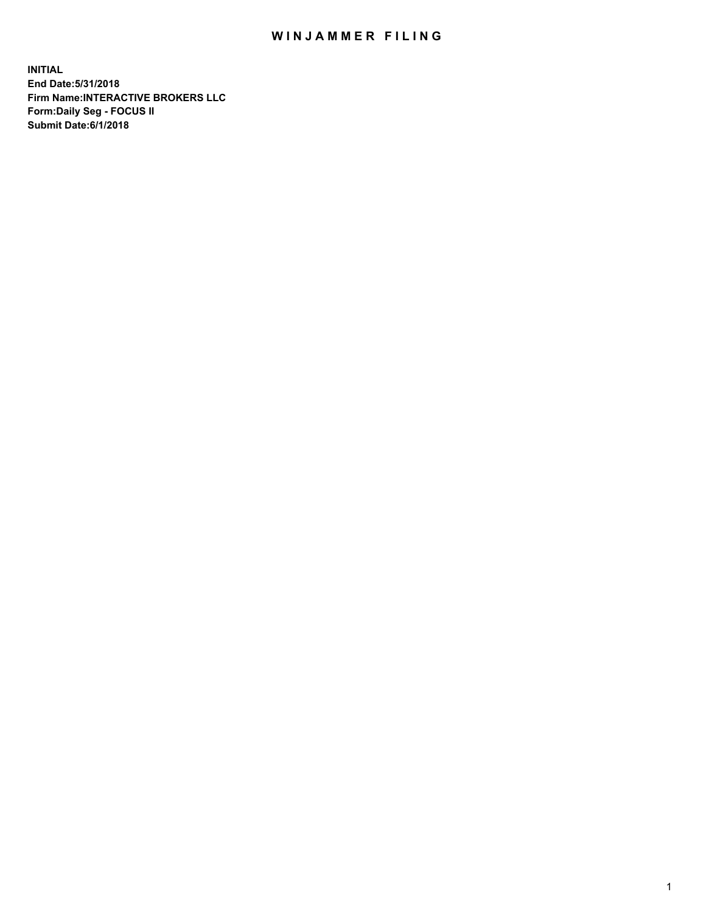## WIN JAMMER FILING

**INITIAL End Date:5/31/2018 Firm Name:INTERACTIVE BROKERS LLC Form:Daily Seg - FOCUS II Submit Date:6/1/2018**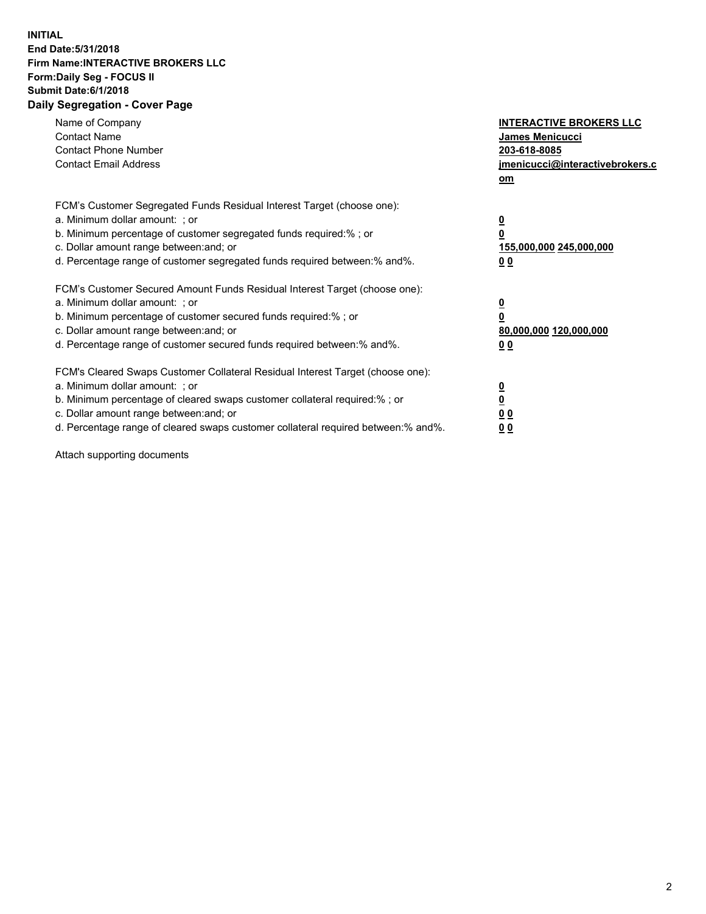## **INITIAL End Date:5/31/2018 Firm Name:INTERACTIVE BROKERS LLC Form:Daily Seg - FOCUS II Submit Date:6/1/2018 Daily Segregation - Cover Page**

| Name of Company<br><b>Contact Name</b><br><b>Contact Phone Number</b><br><b>Contact Email Address</b>                                                                                                                                                                                                                          | <b>INTERACTIVE BROKERS LLC</b><br><b>James Menicucci</b><br>203-618-8085<br>jmenicucci@interactivebrokers.c<br>om |
|--------------------------------------------------------------------------------------------------------------------------------------------------------------------------------------------------------------------------------------------------------------------------------------------------------------------------------|-------------------------------------------------------------------------------------------------------------------|
| FCM's Customer Segregated Funds Residual Interest Target (choose one):<br>a. Minimum dollar amount: ; or<br>b. Minimum percentage of customer segregated funds required:% ; or<br>c. Dollar amount range between: and; or<br>d. Percentage range of customer segregated funds required between:% and%.                         | $\overline{\mathbf{0}}$<br>0<br>155,000,000 245,000,000<br>0 <sub>0</sub>                                         |
| FCM's Customer Secured Amount Funds Residual Interest Target (choose one):<br>a. Minimum dollar amount: ; or<br>b. Minimum percentage of customer secured funds required:%; or<br>c. Dollar amount range between: and; or<br>d. Percentage range of customer secured funds required between: % and %.                          | $\overline{\mathbf{0}}$<br>$\overline{\mathbf{0}}$<br>80,000,000 120,000,000<br>00                                |
| FCM's Cleared Swaps Customer Collateral Residual Interest Target (choose one):<br>a. Minimum dollar amount: ; or<br>b. Minimum percentage of cleared swaps customer collateral required:% ; or<br>c. Dollar amount range between: and; or<br>d. Percentage range of cleared swaps customer collateral required between:% and%. | $\overline{\mathbf{0}}$<br>$\overline{\mathbf{0}}$<br>0 <sub>0</sub><br>0 <sub>0</sub>                            |

Attach supporting documents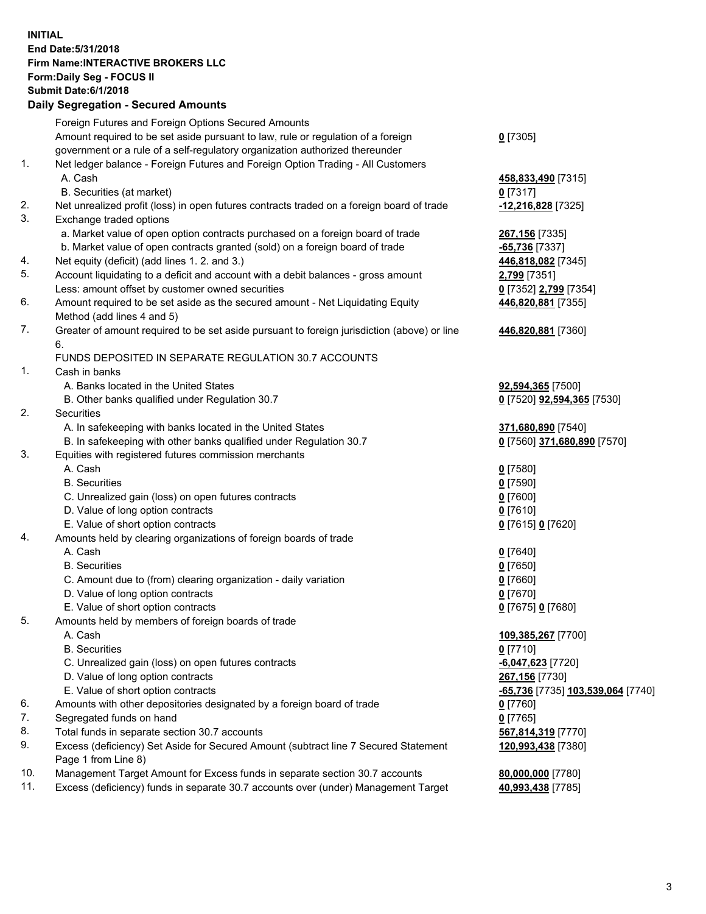## **INITIAL End Date:5/31/2018 Firm Name:INTERACTIVE BROKERS LLC Form:Daily Seg - FOCUS II Submit Date:6/1/2018 Daily Segregation - Secured Amounts**

|                | Daily Ocglegation - Occarea Anioants                                                                       |                                   |
|----------------|------------------------------------------------------------------------------------------------------------|-----------------------------------|
|                | Foreign Futures and Foreign Options Secured Amounts                                                        |                                   |
|                | Amount required to be set aside pursuant to law, rule or regulation of a foreign                           | $0$ [7305]                        |
|                | government or a rule of a self-regulatory organization authorized thereunder                               |                                   |
| 1.             | Net ledger balance - Foreign Futures and Foreign Option Trading - All Customers                            |                                   |
|                | A. Cash                                                                                                    | 458,833,490 [7315]                |
|                | B. Securities (at market)                                                                                  | $0$ [7317]                        |
| 2.             | Net unrealized profit (loss) in open futures contracts traded on a foreign board of trade                  | -12,216,828 [7325]                |
| 3.             | Exchange traded options                                                                                    |                                   |
|                | a. Market value of open option contracts purchased on a foreign board of trade                             | 267,156 [7335]                    |
|                | b. Market value of open contracts granted (sold) on a foreign board of trade                               | -65,736 [7337]                    |
| 4.             | Net equity (deficit) (add lines 1.2. and 3.)                                                               | 446,818,082 [7345]                |
| 5.             | Account liquidating to a deficit and account with a debit balances - gross amount                          | 2,799 [7351]                      |
|                | Less: amount offset by customer owned securities                                                           | 0 [7352] 2,799 [7354]             |
| 6.             | Amount required to be set aside as the secured amount - Net Liquidating Equity                             | 446,820,881 [7355]                |
|                | Method (add lines 4 and 5)                                                                                 |                                   |
| 7.             | Greater of amount required to be set aside pursuant to foreign jurisdiction (above) or line                | 446,820,881 [7360]                |
|                | 6.                                                                                                         |                                   |
|                | FUNDS DEPOSITED IN SEPARATE REGULATION 30.7 ACCOUNTS                                                       |                                   |
| $\mathbf{1}$ . | Cash in banks                                                                                              |                                   |
|                | A. Banks located in the United States                                                                      | 92,594,365 [7500]                 |
|                | B. Other banks qualified under Regulation 30.7                                                             | 0 [7520] 92,594,365 [7530]        |
| 2.             | Securities                                                                                                 |                                   |
|                | A. In safekeeping with banks located in the United States                                                  | 371,680,890 [7540]                |
|                | B. In safekeeping with other banks qualified under Regulation 30.7                                         | 0 [7560] 371,680,890 [7570]       |
| 3.             | Equities with registered futures commission merchants                                                      |                                   |
|                | A. Cash                                                                                                    | $0$ [7580]                        |
|                | <b>B.</b> Securities                                                                                       | $0$ [7590]                        |
|                | C. Unrealized gain (loss) on open futures contracts                                                        | $0$ [7600]                        |
|                | D. Value of long option contracts                                                                          | $0$ [7610]                        |
|                | E. Value of short option contracts                                                                         | 0 [7615] 0 [7620]                 |
| 4.             | Amounts held by clearing organizations of foreign boards of trade                                          |                                   |
|                | A. Cash                                                                                                    | $0$ [7640]                        |
|                | <b>B.</b> Securities                                                                                       | $0$ [7650]                        |
|                | C. Amount due to (from) clearing organization - daily variation                                            | $0$ [7660]                        |
|                | D. Value of long option contracts                                                                          | $0$ [7670]                        |
|                | E. Value of short option contracts                                                                         | 0 [7675] 0 [7680]                 |
| 5.             | Amounts held by members of foreign boards of trade                                                         |                                   |
|                | A. Cash                                                                                                    | 109,385,267 [7700]                |
|                | <b>B.</b> Securities                                                                                       | $0$ [7710]                        |
|                | C. Unrealized gain (loss) on open futures contracts                                                        | $-6,047,623$ [7720]               |
|                | D. Value of long option contracts                                                                          | 267,156 [7730]                    |
|                | E. Value of short option contracts                                                                         | -65,736 [7735] 103,539,064 [7740] |
| 6.             | Amounts with other depositories designated by a foreign board of trade                                     | 0 [7760]                          |
| 7.             | Segregated funds on hand                                                                                   | $0$ [7765]                        |
| 8.             | Total funds in separate section 30.7 accounts                                                              | 567,814,319 [7770]                |
| 9.             | Excess (deficiency) Set Aside for Secured Amount (subtract line 7 Secured Statement<br>Page 1 from Line 8) | 120,993,438 [7380]                |
| 10.            | Management Target Amount for Excess funds in separate section 30.7 accounts                                | 80,000,000 [7780]                 |
| 11.            | Excess (deficiency) funds in separate 30.7 accounts over (under) Management Target                         | 40,993,438 [7785]                 |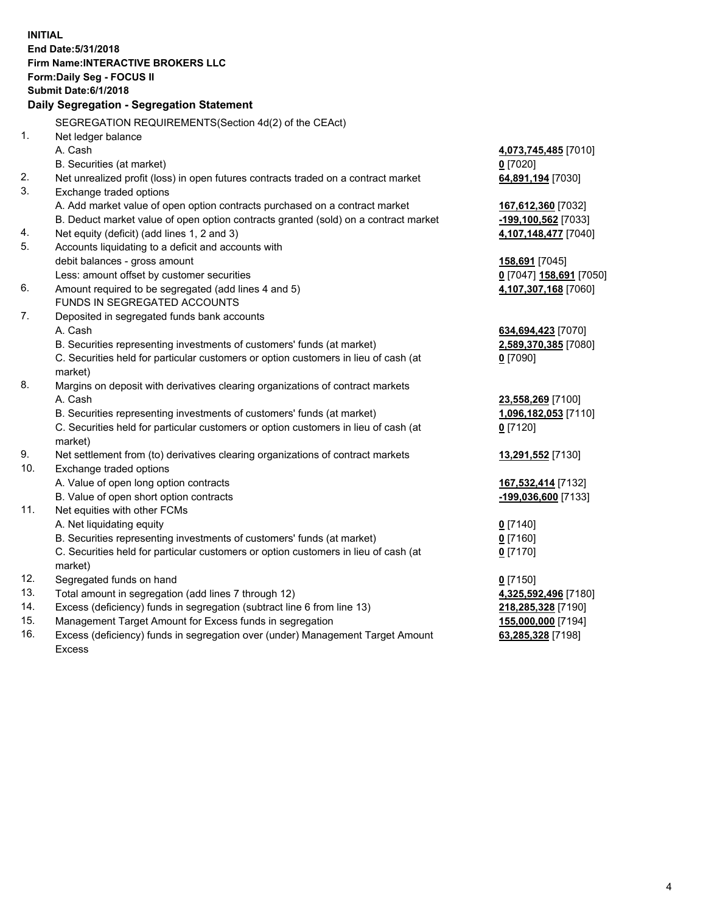**INITIAL End Date:5/31/2018 Firm Name:INTERACTIVE BROKERS LLC Form:Daily Seg - FOCUS II Submit Date:6/1/2018 Daily Segregation - Segregation Statement** SEGREGATION REQUIREMENTS(Section 4d(2) of the CEAct) 1. Net ledger balance A. Cash **4,073,745,485** [7010] B. Securities (at market) **0** [7020] 2. Net unrealized profit (loss) in open futures contracts traded on a contract market **64,891,194** [7030] 3. Exchange traded options A. Add market value of open option contracts purchased on a contract market **167,612,360** [7032] B. Deduct market value of open option contracts granted (sold) on a contract market **-199,100,562** [7033] 4. Net equity (deficit) (add lines 1, 2 and 3) **4,107,148,477** [7040] 5. Accounts liquidating to a deficit and accounts with debit balances - gross amount **158,691** [7045] Less: amount offset by customer securities **0** [7047] **158,691** [7050] 6. Amount required to be segregated (add lines 4 and 5) **4,107,307,168** [7060] FUNDS IN SEGREGATED ACCOUNTS 7. Deposited in segregated funds bank accounts A. Cash **634,694,423** [7070] B. Securities representing investments of customers' funds (at market) **2,589,370,385** [7080] C. Securities held for particular customers or option customers in lieu of cash (at market) **0** [7090] 8. Margins on deposit with derivatives clearing organizations of contract markets A. Cash **23,558,269** [7100] B. Securities representing investments of customers' funds (at market) **1,096,182,053** [7110] C. Securities held for particular customers or option customers in lieu of cash (at market) **0** [7120] 9. Net settlement from (to) derivatives clearing organizations of contract markets **13,291,552** [7130] 10. Exchange traded options A. Value of open long option contracts **167,532,414** [7132] B. Value of open short option contracts **-199,036,600** [7133] 11. Net equities with other FCMs A. Net liquidating equity **0** [7140] B. Securities representing investments of customers' funds (at market) **0** [7160] C. Securities held for particular customers or option customers in lieu of cash (at market) **0** [7170] 12. Segregated funds on hand **0** [7150] 13. Total amount in segregation (add lines 7 through 12) **4,325,592,496** [7180] 14. Excess (deficiency) funds in segregation (subtract line 6 from line 13) **218,285,328** [7190] 15. Management Target Amount for Excess funds in segregation **155,000,000** [7194] **63,285,328** [7198]

16. Excess (deficiency) funds in segregation over (under) Management Target Amount Excess